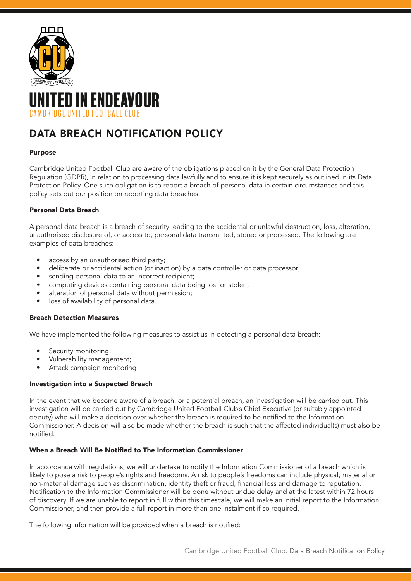

# IITED IN ENDEAVOUR CAMBRIDGE UNITED FOOTBALL CLUB

## DATA BREACH NOTIFICATION POLICY

## Purpose

Cambridge United Football Club are aware of the obligations placed on it by the General Data Protection Regulation (GDPR), in relation to processing data lawfully and to ensure it is kept securely as outlined in its Data Protection Policy. One such obligation is to report a breach of personal data in certain circumstances and this policy sets out our position on reporting data breaches.

## Personal Data Breach

A personal data breach is a breach of security leading to the accidental or unlawful destruction, loss, alteration, unauthorised disclosure of, or access to, personal data transmitted, stored or processed. The following are examples of data breaches:

- access by an unauthorised third party;
- deliberate or accidental action (or inaction) by a data controller or data processor;
- sending personal data to an incorrect recipient;
- computing devices containing personal data being lost or stolen;
- alteration of personal data without permission;
- loss of availability of personal data.

#### Breach Detection Measures

We have implemented the following measures to assist us in detecting a personal data breach:

- Security monitoring;
- Vulnerability management;
- Attack campaign monitoring

#### Investigation into a Suspected Breach

In the event that we become aware of a breach, or a potential breach, an investigation will be carried out. This investigation will be carried out by Cambridge United Football Club's Chief Executive (or suitably appointed deputy) who will make a decision over whether the breach is required to be notified to the Information Commissioner. A decision will also be made whether the breach is such that the affected individual(s) must also be notified.

## When a Breach Will Be Notified to The Information Commissioner

In accordance with regulations, we will undertake to notify the Information Commissioner of a breach which is likely to pose a risk to people's rights and freedoms. A risk to people's freedoms can include physical, material or non-material damage such as discrimination, identity theft or fraud, financial loss and damage to reputation. Notification to the Information Commissioner will be done without undue delay and at the latest within 72 hours of discovery. If we are unable to report in full within this timescale, we will make an initial report to the Information Commissioner, and then provide a full report in more than one instalment if so required.

The following information will be provided when a breach is notified: